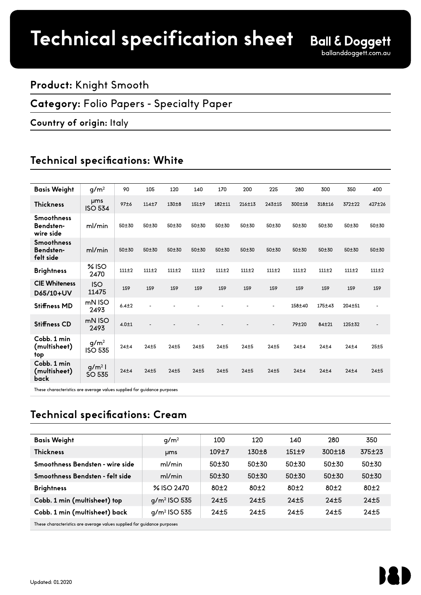## **Product:** Knight Smooth

### **Category:** Folio Papers - Specialty Paper

### **Country of origin:** Italy

# **Technical specifications: White**

| <b>Basis Weight</b>                         | g/m <sup>2</sup>                   | 90        | 105       | 120       | 140       | 170        | 200    | 225                      | 280       | 300        | 350        | 400            |
|---------------------------------------------|------------------------------------|-----------|-----------|-----------|-----------|------------|--------|--------------------------|-----------|------------|------------|----------------|
| <b>Thickness</b>                            | <b>µms</b><br><b>ISO 534</b>       | 97±6      | $114 + 7$ | $130 + 8$ | $151 + 9$ | $182 + 11$ | 216±13 | 243±15                   | 300±18    | 318±16     | 372±22     | 427±26         |
| <b>Smoothness</b><br>Bendsten-<br>wire side | ml/min                             | 50±30     | 50±30     | 50±30     | 50±30     | 50±30      | 50±30  | 50±30                    | 50±30     | 50±30      | 50±30      | 50±30          |
| <b>Smoothness</b><br>Bendsten-<br>felt side | ml/min                             | 50±30     | 50±30     | $50 + 30$ | $50 + 30$ | $50 + 30$  | 50±30  | 50±30                    | $50 + 30$ | 50±30      | $50 + 30$  | 50±30          |
| <b>Brightness</b>                           | $%$ ISO<br>2470                    | 111±2     | 111±2     | 111±2     | $111 + 2$ | 111±2      | 111±2  | $111 + 2$                | $111 + 2$ | 111±2      | 111±2      | 111±2          |
| <b>CIE Whiteness</b><br>D65/10+UV           | <b>ISO</b><br>11475                | 159       | 159       | 159       | 159       | 159        | 159    | 159                      | 159       | 159        | 159        | 159            |
| <b>Stiffness MD</b>                         | mN ISO<br>2493                     | $6.4 + 2$ |           |           |           |            |        | ٠                        | 158±40    | $175 + 43$ | $204 + 51$ | $\blacksquare$ |
| <b>Stiffness CD</b>                         | mN ISO<br>2493                     | $4.0 + 1$ |           |           |           |            |        | $\overline{\phantom{a}}$ | 79±20     | $84 + 21$  | $125 + 32$ |                |
| Cobb. 1 min<br>(multisheet)<br>top          | g/m <sup>2</sup><br><b>ISO 535</b> | 24±4      | 24±5      | 24±5      | 24±5      | 24±5       | 24±5   | 24±5                     | 24±4      | 24±4       | 24±4       | 25±5           |
| Cobb. 1 min<br>(multisheet)<br><b>back</b>  | $g/m^2$<br>SO 535                  | 24±4      | 24±5      | 24±5      | 24±5      | 24±5       | 24±5   | 24±5                     | 24±4      | 24±4       | 24±4       | 24±5           |

These characteristics are average values supplied for guidance purposes

# **Technical specifications: Cream**

| <b>Basis Weight</b>                                                     | g/m <sup>2</sup> | 100   | 120       | 140       | 280       | 350    |  |  |
|-------------------------------------------------------------------------|------------------|-------|-----------|-----------|-----------|--------|--|--|
| <b>Thickness</b>                                                        | <b>µms</b>       | 109±7 | $130\pm8$ | $151\pm9$ | 300±18    | 375±23 |  |  |
| Smoothness Bendsten - wire side                                         | ml/min           | 50±30 | 50±30     | 50±30     | 50±30     | 50±30  |  |  |
| Smoothness Bendsten - felt side                                         | ml/min           | 50±30 | $50 + 30$ | $50 + 30$ | $50 + 30$ | 50±30  |  |  |
| <b>Brightness</b>                                                       | % ISO 2470       | 80±2  | 80±2      | $80+2$    | 80±2      | 80±2   |  |  |
| Cobb. 1 min (multisheet) top                                            | $q/m^2$ ISO 535  | 24±5  | 24±5      | 24±5      | 24±5      | 24±5   |  |  |
| Cobb. 1 min (multisheet) back                                           | $q/m^2$ ISO 535  | 24±5  | 24±5      | $24+5$    | $24+5$    | 24±5   |  |  |
| These characteristics are average values supplied for quidance purposes |                  |       |           |           |           |        |  |  |